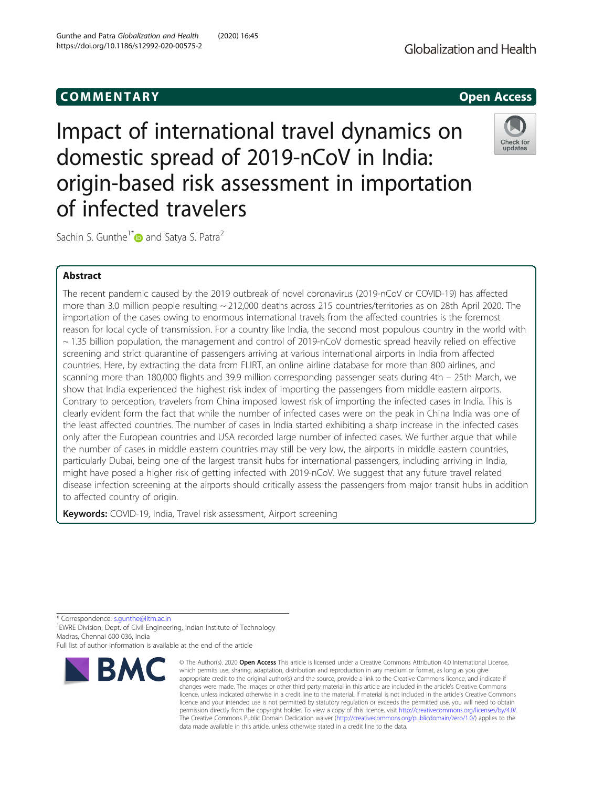# COMM EN TARY Open Access

Impact of international travel dynamics on domestic spread of 2019-nCoV in India: origin-based risk assessment in importation of infected travelers



Sachin S. Gunthe<sup>1\*</sup> and Satya S. Patra<sup>2</sup>

# Abstract

The recent pandemic caused by the 2019 outbreak of novel coronavirus (2019-nCoV or COVID-19) has affected more than 3.0 million people resulting ~ 212,000 deaths across 215 countries/territories as on 28th April 2020. The importation of the cases owing to enormous international travels from the affected countries is the foremost reason for local cycle of transmission. For a country like India, the second most populous country in the world with  $\sim$  1.35 billion population, the management and control of 2019-nCoV domestic spread heavily relied on effective screening and strict quarantine of passengers arriving at various international airports in India from affected countries. Here, by extracting the data from FLIRT, an online airline database for more than 800 airlines, and scanning more than 180,000 flights and 39.9 million corresponding passenger seats during 4th – 25th March, we show that India experienced the highest risk index of importing the passengers from middle eastern airports. Contrary to perception, travelers from China imposed lowest risk of importing the infected cases in India. This is clearly evident form the fact that while the number of infected cases were on the peak in China India was one of the least affected countries. The number of cases in India started exhibiting a sharp increase in the infected cases only after the European countries and USA recorded large number of infected cases. We further argue that while the number of cases in middle eastern countries may still be very low, the airports in middle eastern countries, particularly Dubai, being one of the largest transit hubs for international passengers, including arriving in India, might have posed a higher risk of getting infected with 2019-nCoV. We suggest that any future travel related disease infection screening at the airports should critically assess the passengers from major transit hubs in addition to affected country of origin.

Keywords: COVID-19, India, Travel risk assessment, Airport screening

\* Correspondence: [s.gunthe@iitm.ac.in](mailto:s.gunthe@iitm.ac.in)

<sup>1</sup> EWRE Division, Dept. of Civil Engineering, Indian Institute of Technology Madras, Chennai 600 036, India Full list of author information is available at the end of the article

BMC

<sup>©</sup> The Author(s), 2020 **Open Access** This article is licensed under a Creative Commons Attribution 4.0 International License, which permits use, sharing, adaptation, distribution and reproduction in any medium or format, as long as you give appropriate credit to the original author(s) and the source, provide a link to the Creative Commons licence, and indicate if changes were made. The images or other third party material in this article are included in the article's Creative Commons licence, unless indicated otherwise in a credit line to the material. If material is not included in the article's Creative Commons licence and your intended use is not permitted by statutory regulation or exceeds the permitted use, you will need to obtain permission directly from the copyright holder. To view a copy of this licence, visit [http://creativecommons.org/licenses/by/4.0/.](http://creativecommons.org/licenses/by/4.0/) The Creative Commons Public Domain Dedication waiver [\(http://creativecommons.org/publicdomain/zero/1.0/](http://creativecommons.org/publicdomain/zero/1.0/)) applies to the data made available in this article, unless otherwise stated in a credit line to the data.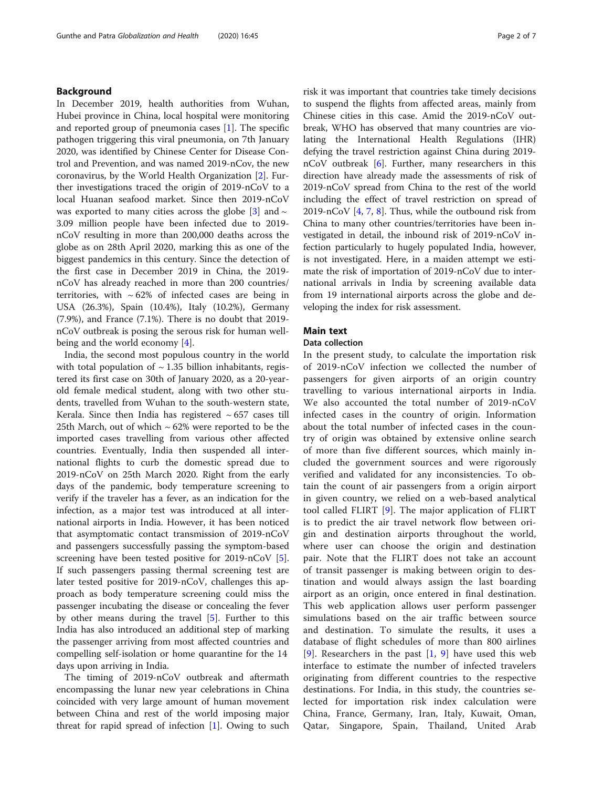# Background

In December 2019, health authorities from Wuhan, Hubei province in China, local hospital were monitoring and reported group of pneumonia cases  $[1]$  $[1]$  $[1]$ . The specific pathogen triggering this viral pneumonia, on 7th January 2020, was identified by Chinese Center for Disease Control and Prevention, and was named 2019-nCov, the new coronavirus, by the World Health Organization [\[2](#page-6-0)]. Further investigations traced the origin of 2019-nCoV to a local Huanan seafood market. Since then 2019-nCoV was exported to many cities across the globe  $[3]$  $[3]$  $[3]$  and  $\sim$ 3.09 million people have been infected due to 2019 nCoV resulting in more than 200,000 deaths across the globe as on 28th April 2020, marking this as one of the biggest pandemics in this century. Since the detection of the first case in December 2019 in China, the 2019 nCoV has already reached in more than 200 countries/ territories, with  $\sim 62\%$  of infected cases are being in USA (26.3%), Spain (10.4%), Italy (10.2%), Germany (7.9%), and France (7.1%). There is no doubt that 2019 nCoV outbreak is posing the serous risk for human wellbeing and the world economy [\[4](#page-6-0)].

India, the second most populous country in the world with total population of  $\sim$  1.35 billion inhabitants, registered its first case on 30th of January 2020, as a 20-yearold female medical student, along with two other students, travelled from Wuhan to the south-western state, Kerala. Since then India has registered  $\sim 657$  cases till 25th March, out of which  $\sim$  62% were reported to be the imported cases travelling from various other affected countries. Eventually, India then suspended all international flights to curb the domestic spread due to 2019-nCoV on 25th March 2020. Right from the early days of the pandemic, body temperature screening to verify if the traveler has a fever, as an indication for the infection, as a major test was introduced at all international airports in India. However, it has been noticed that asymptomatic contact transmission of 2019-nCoV and passengers successfully passing the symptom-based screening have been tested positive for 2019-nCoV [\[5](#page-6-0)]. If such passengers passing thermal screening test are later tested positive for 2019-nCoV, challenges this approach as body temperature screening could miss the passenger incubating the disease or concealing the fever by other means during the travel [[5\]](#page-6-0). Further to this India has also introduced an additional step of marking the passenger arriving from most affected countries and compelling self-isolation or home quarantine for the 14 days upon arriving in India.

The timing of 2019-nCoV outbreak and aftermath encompassing the lunar new year celebrations in China coincided with very large amount of human movement between China and rest of the world imposing major threat for rapid spread of infection [\[1\]](#page-6-0). Owing to such

risk it was important that countries take timely decisions to suspend the flights from affected areas, mainly from Chinese cities in this case. Amid the 2019-nCoV outbreak, WHO has observed that many countries are violating the International Health Regulations (IHR) defying the travel restriction against China during 2019 nCoV outbreak [\[6](#page-6-0)]. Further, many researchers in this direction have already made the assessments of risk of 2019-nCoV spread from China to the rest of the world including the effect of travel restriction on spread of 2019-nCoV [[4,](#page-6-0) [7,](#page-6-0) [8](#page-6-0)]. Thus, while the outbound risk from China to many other countries/territories have been investigated in detail, the inbound risk of 2019-nCoV infection particularly to hugely populated India, however, is not investigated. Here, in a maiden attempt we estimate the risk of importation of 2019-nCoV due to international arrivals in India by screening available data from 19 international airports across the globe and developing the index for risk assessment.

# Main text

# Data collection

In the present study, to calculate the importation risk of 2019-nCoV infection we collected the number of passengers for given airports of an origin country travelling to various international airports in India. We also accounted the total number of 2019-nCoV infected cases in the country of origin. Information about the total number of infected cases in the country of origin was obtained by extensive online search of more than five different sources, which mainly included the government sources and were rigorously verified and validated for any inconsistencies. To obtain the count of air passengers from a origin airport in given country, we relied on a web-based analytical tool called FLIRT [[9\]](#page-6-0). The major application of FLIRT is to predict the air travel network flow between origin and destination airports throughout the world, where user can choose the origin and destination pair. Note that the FLIRT does not take an account of transit passenger is making between origin to destination and would always assign the last boarding airport as an origin, once entered in final destination. This web application allows user perform passenger simulations based on the air traffic between source and destination. To simulate the results, it uses a database of flight schedules of more than 800 airlines [[9](#page-6-0)]. Researchers in the past  $[1, 9]$  $[1, 9]$  $[1, 9]$  have used this web interface to estimate the number of infected travelers originating from different countries to the respective destinations. For India, in this study, the countries selected for importation risk index calculation were China, France, Germany, Iran, Italy, Kuwait, Oman, Qatar, Singapore, Spain, Thailand, United Arab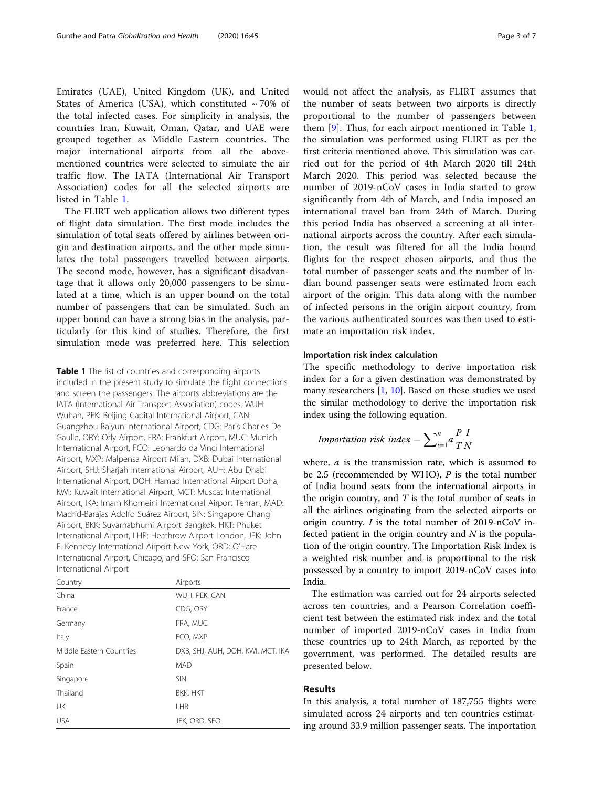<span id="page-2-0"></span>Emirates (UAE), United Kingdom (UK), and United States of America (USA), which constituted  $\sim$  70% of the total infected cases. For simplicity in analysis, the countries Iran, Kuwait, Oman, Qatar, and UAE were grouped together as Middle Eastern countries. The major international airports from all the abovementioned countries were selected to simulate the air traffic flow. The IATA (International Air Transport Association) codes for all the selected airports are listed in Table 1.

The FLIRT web application allows two different types of flight data simulation. The first mode includes the simulation of total seats offered by airlines between origin and destination airports, and the other mode simulates the total passengers travelled between airports. The second mode, however, has a significant disadvantage that it allows only 20,000 passengers to be simulated at a time, which is an upper bound on the total number of passengers that can be simulated. Such an upper bound can have a strong bias in the analysis, particularly for this kind of studies. Therefore, the first simulation mode was preferred here. This selection

Table 1 The list of countries and corresponding airports included in the present study to simulate the flight connections and screen the passengers. The airports abbreviations are the IATA (International Air Transport Association) codes. WUH: Wuhan, PEK: Beijing Capital International Airport, CAN: Guangzhou Baiyun International Airport, CDG: Paris-Charles De Gaulle, ORY: Orly Airport, FRA: Frankfurt Airport, MUC: Munich International Airport, FCO: Leonardo da Vinci International Airport, MXP: Malpensa Airport Milan, DXB: Dubai International Airport, SHJ: Sharjah International Airport, AUH: Abu Dhabi International Airport, DOH: Hamad International Airport Doha, KWI: Kuwait International Airport, MCT: Muscat International Airport, IKA: Imam Khomeini International Airport Tehran, MAD: Madrid-Barajas Adolfo Suárez Airport, SIN: Singapore Changi Airport, BKK: Suvarnabhumi Airport Bangkok, HKT: Phuket International Airport, LHR: Heathrow Airport London, JFK: John F. Kennedy International Airport New York, ORD: O'Hare International Airport, Chicago, and SFO: San Francisco International Airport

| Country                  | Airports                          |
|--------------------------|-----------------------------------|
| China                    | WUH, PEK, CAN                     |
| France                   | CDG, ORY                          |
| Germany                  | FRA, MUC                          |
| Italy                    | FCO, MXP                          |
| Middle Eastern Countries | DXB, SHJ, AUH, DOH, KWI, MCT, IKA |
| Spain                    | <b>MAD</b>                        |
| Singapore                | <b>SIN</b>                        |
| Thailand                 | <b>BKK, HKT</b>                   |
| UK                       | <b>IHR</b>                        |
| <b>USA</b>               | JFK, ORD, SFO                     |

would not affect the analysis, as FLIRT assumes that the number of seats between two airports is directly proportional to the number of passengers between them  $[9]$  $[9]$  $[9]$ . Thus, for each airport mentioned in Table 1, the simulation was performed using FLIRT as per the first criteria mentioned above. This simulation was carried out for the period of 4th March 2020 till 24th March 2020. This period was selected because the number of 2019-nCoV cases in India started to grow significantly from 4th of March, and India imposed an international travel ban from 24th of March. During this period India has observed a screening at all international airports across the country. After each simulation, the result was filtered for all the India bound flights for the respect chosen airports, and thus the total number of passenger seats and the number of Indian bound passenger seats were estimated from each airport of the origin. This data along with the number of infected persons in the origin airport country, from the various authenticated sources was then used to estimate an importation risk index.

### Importation risk index calculation

The specific methodology to derive importation risk index for a for a given destination was demonstrated by many researchers  $[1, 10]$  $[1, 10]$  $[1, 10]$  $[1, 10]$ . Based on these studies we used the similar methodology to derive the importation risk index using the following equation.

*Importantion risk index* = 
$$
\sum_{i=1}^{n} a \frac{P}{T} \frac{I}{N}
$$

where,  $a$  is the transmission rate, which is assumed to be 2.5 (recommended by WHO),  $P$  is the total number of India bound seats from the international airports in the origin country, and  $T$  is the total number of seats in all the airlines originating from the selected airports or origin country. I is the total number of 2019-nCoV infected patient in the origin country and  $N$  is the population of the origin country. The Importation Risk Index is a weighted risk number and is proportional to the risk possessed by a country to import 2019-nCoV cases into India.

The estimation was carried out for 24 airports selected across ten countries, and a Pearson Correlation coefficient test between the estimated risk index and the total number of imported 2019-nCoV cases in India from these countries up to 24th March, as reported by the government, was performed. The detailed results are presented below.

## Results

In this analysis, a total number of 187,755 flights were simulated across 24 airports and ten countries estimating around 33.9 million passenger seats. The importation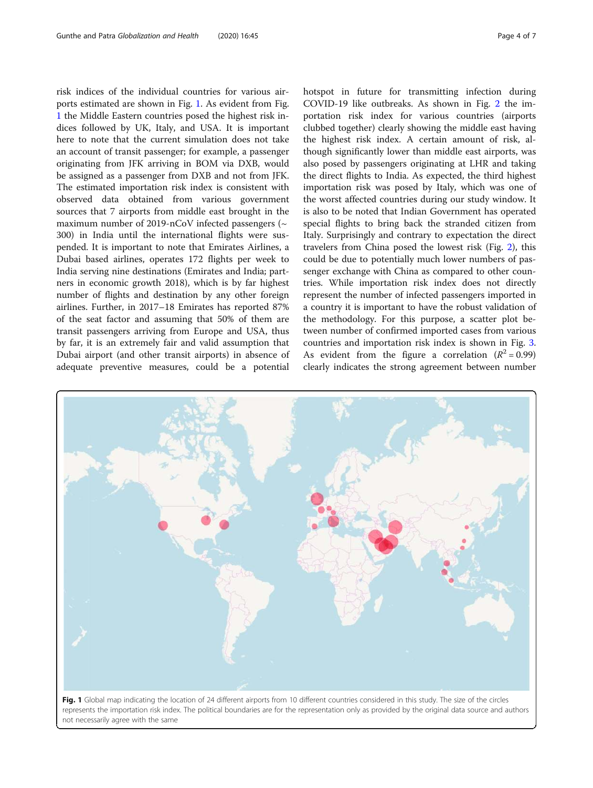risk indices of the individual countries for various airports estimated are shown in Fig. 1. As evident from Fig. 1 the Middle Eastern countries posed the highest risk indices followed by UK, Italy, and USA. It is important here to note that the current simulation does not take an account of transit passenger; for example, a passenger originating from JFK arriving in BOM via DXB, would be assigned as a passenger from DXB and not from JFK. The estimated importation risk index is consistent with observed data obtained from various government sources that 7 airports from middle east brought in the maximum number of 2019-nCoV infected passengers ( $\sim$ 300) in India until the international flights were suspended. It is important to note that Emirates Airlines, a Dubai based airlines, operates 172 flights per week to India serving nine destinations (Emirates and India; partners in economic growth 2018), which is by far highest number of flights and destination by any other foreign airlines. Further, in 2017–18 Emirates has reported 87% of the seat factor and assuming that 50% of them are transit passengers arriving from Europe and USA, thus by far, it is an extremely fair and valid assumption that Dubai airport (and other transit airports) in absence of adequate preventive measures, could be a potential hotspot in future for transmitting infection during COVID-19 like outbreaks. As shown in Fig. [2](#page-4-0) the importation risk index for various countries (airports clubbed together) clearly showing the middle east having the highest risk index. A certain amount of risk, although significantly lower than middle east airports, was also posed by passengers originating at LHR and taking the direct flights to India. As expected, the third highest importation risk was posed by Italy, which was one of the worst affected countries during our study window. It is also to be noted that Indian Government has operated special flights to bring back the stranded citizen from Italy. Surprisingly and contrary to expectation the direct

travelers from China posed the lowest risk (Fig. [2\)](#page-4-0), this could be due to potentially much lower numbers of pas-

clearly indicates the strong agreement between number

senger exchange with China as compared to other countries. While importation risk index does not directly represent the number of infected passengers imported in a country it is important to have the robust validation of the methodology. For this purpose, a scatter plot between number of confirmed imported cases from various countries and importation risk index is shown in Fig. [3](#page-4-0). As evident from the figure a correlation ( $R^2 = 0.99$ )



Fig. 1 Global map indicating the location of 24 different airports from 10 different countries considered in this study. The size of the circles represents the importation risk index. The political boundaries are for the representation only as provided by the original data source and authors not necessarily agree with the same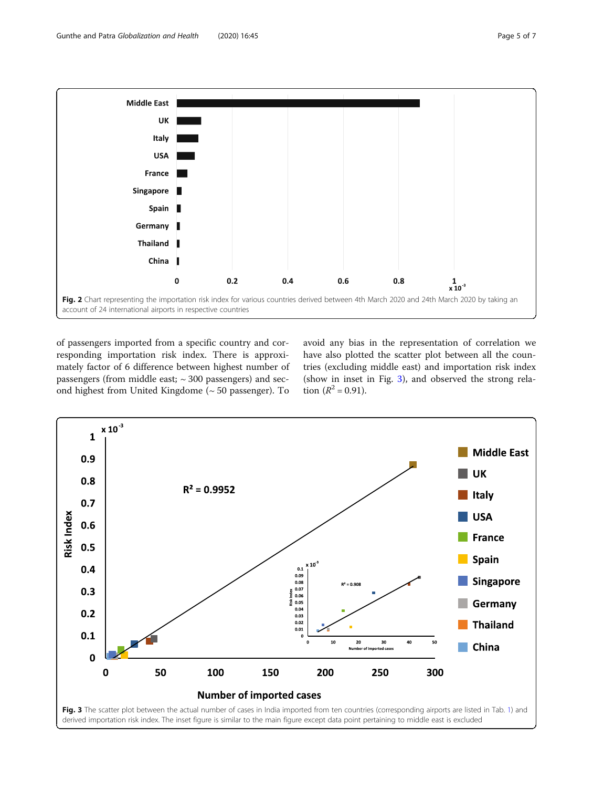<span id="page-4-0"></span>

of passengers imported from a specific country and corresponding importation risk index. There is approximately factor of 6 difference between highest number of passengers (from middle east;  $\sim$  300 passengers) and second highest from United Kingdome (~ 50 passenger). To

avoid any bias in the representation of correlation we have also plotted the scatter plot between all the countries (excluding middle east) and importation risk index (show in inset in Fig. 3), and observed the strong relation  $(R^2 = 0.91)$ .

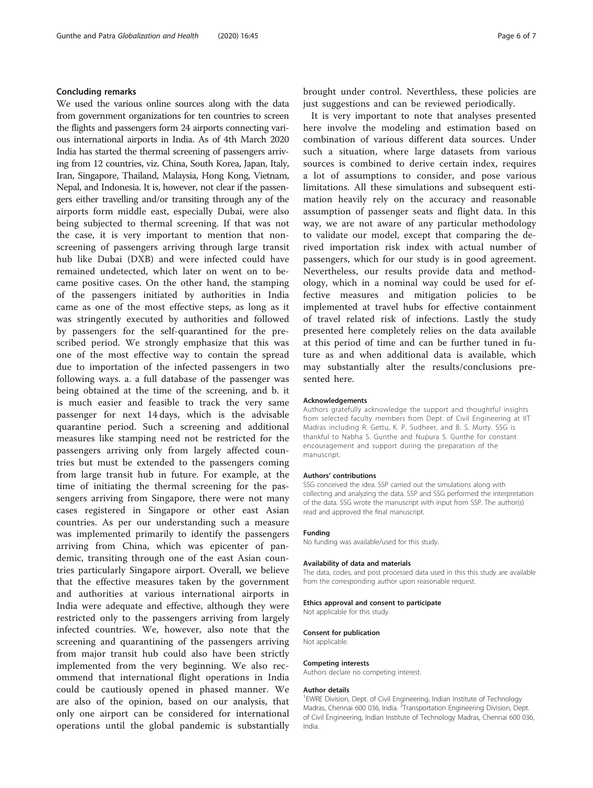# Concluding remarks

We used the various online sources along with the data from government organizations for ten countries to screen the flights and passengers form 24 airports connecting various international airports in India. As of 4th March 2020 India has started the thermal screening of passengers arriving from 12 countries, viz. China, South Korea, Japan, Italy, Iran, Singapore, Thailand, Malaysia, Hong Kong, Vietnam, Nepal, and Indonesia. It is, however, not clear if the passengers either travelling and/or transiting through any of the airports form middle east, especially Dubai, were also being subjected to thermal screening. If that was not the case, it is very important to mention that nonscreening of passengers arriving through large transit hub like Dubai (DXB) and were infected could have remained undetected, which later on went on to became positive cases. On the other hand, the stamping of the passengers initiated by authorities in India came as one of the most effective steps, as long as it was stringently executed by authorities and followed by passengers for the self-quarantined for the prescribed period. We strongly emphasize that this was one of the most effective way to contain the spread due to importation of the infected passengers in two following ways. a. a full database of the passenger was being obtained at the time of the screening, and b. it is much easier and feasible to track the very same passenger for next 14 days, which is the advisable quarantine period. Such a screening and additional measures like stamping need not be restricted for the passengers arriving only from largely affected countries but must be extended to the passengers coming from large transit hub in future. For example, at the time of initiating the thermal screening for the passengers arriving from Singapore, there were not many cases registered in Singapore or other east Asian countries. As per our understanding such a measure was implemented primarily to identify the passengers arriving from China, which was epicenter of pandemic, transiting through one of the east Asian countries particularly Singapore airport. Overall, we believe that the effective measures taken by the government and authorities at various international airports in India were adequate and effective, although they were restricted only to the passengers arriving from largely infected countries. We, however, also note that the screening and quarantining of the passengers arriving from major transit hub could also have been strictly implemented from the very beginning. We also recommend that international flight operations in India could be cautiously opened in phased manner. We are also of the opinion, based on our analysis, that only one airport can be considered for international operations until the global pandemic is substantially brought under control. Neverthless, these policies are just suggestions and can be reviewed periodically.

It is very important to note that analyses presented here involve the modeling and estimation based on combination of various different data sources. Under such a situation, where large datasets from various sources is combined to derive certain index, requires a lot of assumptions to consider, and pose various limitations. All these simulations and subsequent estimation heavily rely on the accuracy and reasonable assumption of passenger seats and flight data. In this way, we are not aware of any particular methodology to validate our model, except that comparing the derived importation risk index with actual number of passengers, which for our study is in good agreement. Nevertheless, our results provide data and methodology, which in a nominal way could be used for effective measures and mitigation policies to be implemented at travel hubs for effective containment of travel related risk of infections. Lastly the study presented here completely relies on the data available at this period of time and can be further tuned in future as and when additional data is available, which may substantially alter the results/conclusions presented here.

#### Acknowledgements

Authors gratefully acknowledge the support and thoughtful insights from selected faculty members from Dept. of Civil Engineering at IIT Madras including R. Gettu, K. P. Sudheer, and B. S. Murty. SSG is thankful to Nabha S. Gunthe and Nupura S. Gunthe for constant encouragement and support during the preparation of the manuscript.

#### Authors' contributions

SSG conceived the idea. SSP carried out the simulations along with collecting and analyzing the data. SSP and SSG performed the interpretation of the data. SSG wrote the manuscript with input from SSP. The author(s) read and approved the final manuscript.

### Funding

No funding was available/used for this study.

#### Availability of data and materials

The data, codes, and post processed data used in this this study are available from the corresponding author upon reasonable request.

#### Ethics approval and consent to participate

Not applicable for this study.

#### Consent for publication

Not applicable.

### Competing interests

Authors declare no competing interest.

#### Author details

<sup>1</sup> EWRE Division, Dept. of Civil Engineering, Indian Institute of Technology Madras, Chennai 600 036, India. <sup>2</sup> Transportation Engineering Division, Dept. of Civil Engineering, Indian Institute of Technology Madras, Chennai 600 036, India.